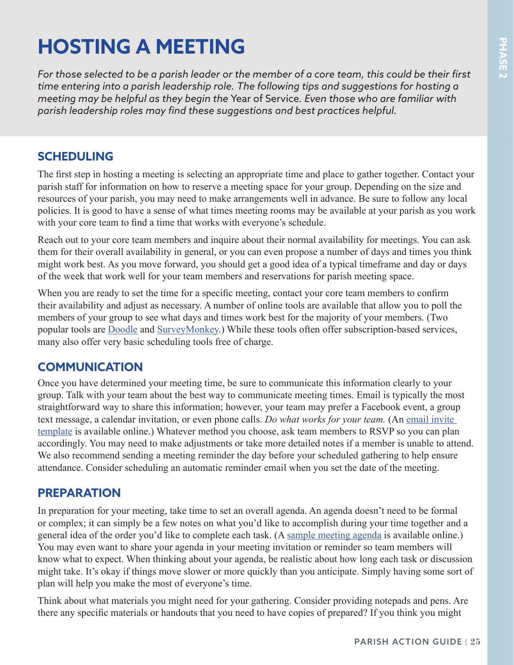# **HOSTING A MEETING**

*For those selected to be a parish leader or the member of a core team, this could be their first time entering into a parish leadership role. The following tips and suggestions for hosting a meeting may be helpful as they begin the* Year of Service*. Even those who are familiar with parish leadership roles may find these suggestions and best practices helpful.*

### **SCHEDULING**

The first step in hosting a meeting is selecting an appropriate time and place to gather together. Contact your parish staff for information on how to reserve a meeting space for your group. Depending on the size and resources of your parish, you may need to make arrangements well in advance. Be sure to follow any local policies. It is good to have a sense of what times meeting rooms may be available at your parish as you work with your core team to find a time that works with everyone's schedule.

Reach out to your core team members and inquire about their normal availability for meetings. You can ask them for their overall availability in general, or you can even propose a number of days and times you think might work best. As you move forward, you should get a good idea of a typical timeframe and day or days of the week that work well for your team members and reservations for parish meeting space.

When you are ready to set the time for a specific meeting, contact your core team members to confirm their availability and adjust as necessary. A number of online tools are available that allow you to poll the members of your group to see what days and times work best for the majority of your members. (Two popular tools are [Doodle](https://www.doodle.com/en/) and [SurveyMonkey.](https://www.surveymonkey.com/)) While these tools often offer subscription-based services, many also offer very basic scheduling tools free of charge.

#### **COMMUNICATION**

Once you have determined your meeting time, be sure to communicate this information clearly to your group. Talk with your team about the best way to communicate meeting times. Email is typically the most straightforward way to share this information; however, your team may prefer a Facebook event, a group text message, a calendar invitation, or even phone calls. *Do what works for your team*. (An email invite [template](http://www.usccb.org/about/pro-life-activities/upload/WWMIN-Meeting-Invitation-Email-Template.docx) is available online.) Whatever method you choose, ask team members to RSVP so you can plan accordingly. You may need to make adjustments or take more detailed notes if a member is unable to attend. We also recommend sending a meeting reminder the day before your scheduled gathering to help ensure attendance. Consider scheduling an automatic reminder email when you set the date of the meeting.

#### **PREPARATION**

In preparation for your meeting, take time to set an overall agenda. An agenda doesn't need to be formal or complex; it can simply be a few notes on what you'd like to accomplish during your time together and a general idea of the order you'd like to complete each task. (A [sample meeting agenda](http://www.usccb.org/about/pro-life-activities/upload/WWMIN_Sample-Meeting-Agenda.docx) is available online.) You may even want to share your agenda in your meeting invitation or reminder so team members will know what to expect. When thinking about your agenda, be realistic about how long each task or discussion might take. It's okay if things move slower or more quickly than you anticipate. Simply having some sort of plan will help you make the most of everyone's time.

Think about what materials you might need for your gathering. Consider providing notepads and pens. Are there any specific materials or handouts that you need to have copies of prepared? If you think you might